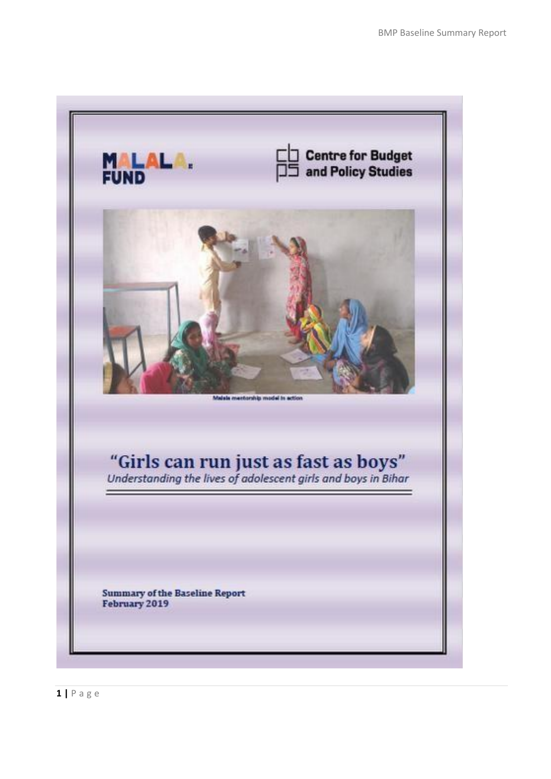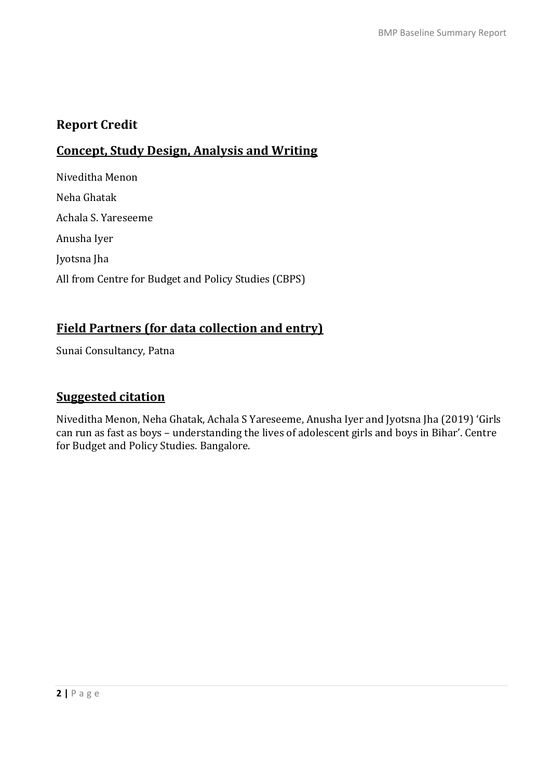# **Report Credit**

# **Concept, Study Design, Analysis and Writing**

Niveditha Menon Neha Ghatak Achala S. Yareseeme Anusha Iyer Jyotsna Jha All from Centre for Budget and Policy Studies (CBPS)

# **Field Partners (for data collection and entry)**

Sunai Consultancy, Patna

# **Suggested citation**

Niveditha Menon, Neha Ghatak, Achala S Yareseeme, Anusha Iyer and Jyotsna Jha (2019) 'Girls can run as fast as boys – understanding the lives of adolescent girls and boys in Bihar'. Centre for Budget and Policy Studies. Bangalore.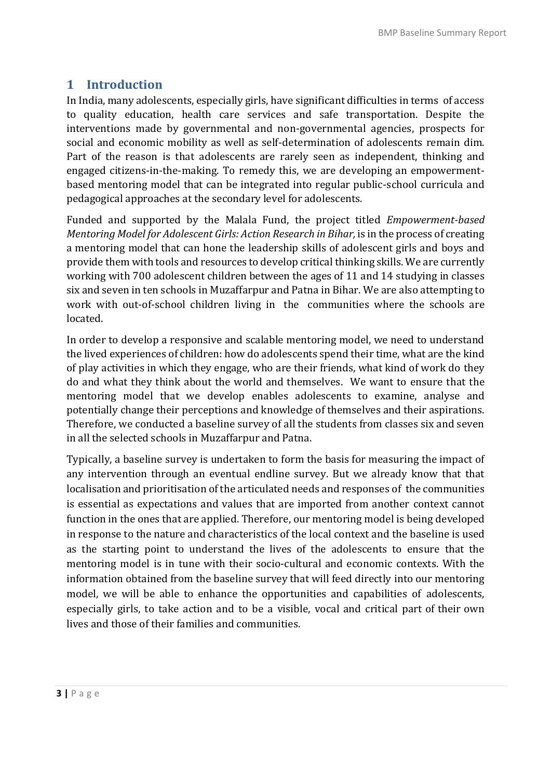# **1 Introduction**

In India, many adolescents, especially girls, have significant difficulties in terms of access to quality education, health care services and safe transportation. Despite the interventions made by governmental and non-governmental agencies, prospects for social and economic mobility as well as self-determination of adolescents remain dim. Part of the reason is that adolescents are rarely seen as independent, thinking and engaged citizens-in-the-making. To remedy this, we are developing an empowermentbased mentoring model that can be integrated into regular public-school curricula and pedagogical approaches at the secondary level for adolescents.

Funded and supported by the Malala Fund, the project titled *Empowerment-based Mentoring Model for Adolescent Girls: Action Research in Bihar,* is in the process of creating a mentoring model that can hone the leadership skills of adolescent girls and boys and provide them with tools and resources to develop critical thinking skills. We are currently working with 700 adolescent children between the ages of 11 and 14 studying in classes six and seven in ten schools in Muzaffarpur and Patna in Bihar. We are also attempting to work with out-of-school children living in the communities where the schools are located.

In order to develop a responsive and scalable mentoring model, we need to understand the lived experiences of children: how do adolescents spend their time, what are the kind of play activities in which they engage, who are their friends, what kind of work do they do and what they think about the world and themselves. We want to ensure that the mentoring model that we develop enables adolescents to examine, analyse and potentially change their perceptions and knowledge of themselves and their aspirations. Therefore, we conducted a baseline survey of all the students from classes six and seven in all the selected schools in Muzaffarpur and Patna.

Typically, a baseline survey is undertaken to form the basis for measuring the impact of any intervention through an eventual endline survey. But we already know that that localisation and prioritisation of the articulated needs and responses of the communities is essential as expectations and values that are imported from another context cannot function in the ones that are applied. Therefore, our mentoring model is being developed in response to the nature and characteristics of the local context and the baseline is used as the starting point to understand the lives of the adolescents to ensure that the mentoring model is in tune with their socio-cultural and economic contexts. With the information obtained from the baseline survey that will feed directly into our mentoring model, we will be able to enhance the opportunities and capabilities of adolescents, especially girls, to take action and to be a visible, vocal and critical part of their own lives and those of their families and communities.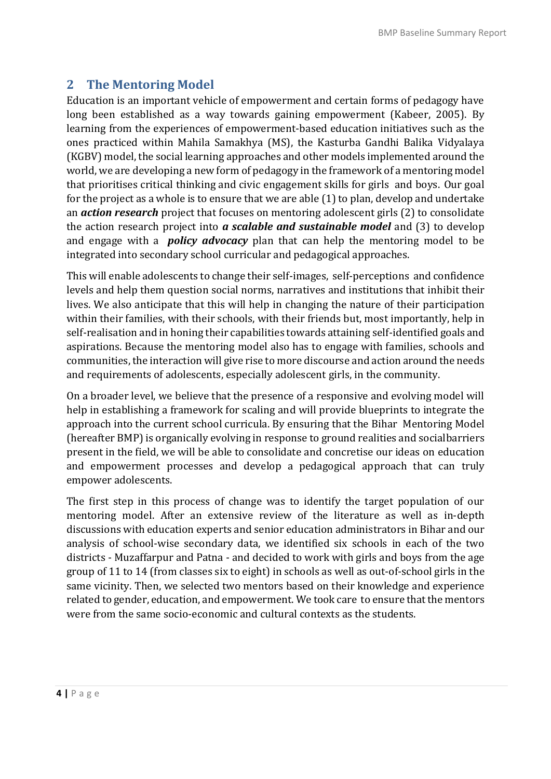# **2 The Mentoring Model**

Education is an important vehicle of empowerment and certain forms of pedagogy have long been established as a way towards gaining empowerment (Kabeer, 2005). By learning from the experiences of empowerment-based education initiatives such as the ones practiced within Mahila Samakhya (MS), the Kasturba Gandhi Balika Vidyalaya (KGBV) model, the social learning approaches and other models implemented around the world, we are developing a new form of pedagogy in the framework of a mentoring model that prioritises critical thinking and civic engagement skills for girls and boys. Our goal for the project as a whole is to ensure that we are able (1) to plan, develop and undertake an *action research* project that focuses on mentoring adolescent girls (2) to consolidate the action research project into *a scalable and sustainable model* and (3) to develop and engage with a *policy advocacy* plan that can help the mentoring model to be integrated into secondary school curricular and pedagogical approaches.

This will enable adolescents to change their self-images, self-perceptions and confidence levels and help them question social norms, narratives and institutions that inhibit their lives. We also anticipate that this will help in changing the nature of their participation within their families, with their schools, with their friends but, most importantly, help in self-realisation and in honing their capabilities towards attaining self-identified goals and aspirations. Because the mentoring model also has to engage with families, schools and communities, the interaction will give rise to more discourse and action around the needs and requirements of adolescents, especially adolescent girls, in the community.

On a broader level, we believe that the presence of a responsive and evolving model will help in establishing a framework for scaling and will provide blueprints to integrate the approach into the current school curricula. By ensuring that the Bihar Mentoring Model (hereafter BMP) is organically evolving in response to ground realities and socialbarriers present in the field, we will be able to consolidate and concretise our ideas on education and empowerment processes and develop a pedagogical approach that can truly empower adolescents.

The first step in this process of change was to identify the target population of our mentoring model. After an extensive review of the literature as well as in-depth discussions with education experts and senior education administrators in Bihar and our analysis of school-wise secondary data, we identified six schools in each of the two districts - Muzaffarpur and Patna - and decided to work with girls and boys from the age group of 11 to 14 (from classes six to eight) in schools as well as out-of-school girls in the same vicinity. Then, we selected two mentors based on their knowledge and experience related to gender, education, and empowerment. We took care to ensure that the mentors were from the same socio-economic and cultural contexts as the students.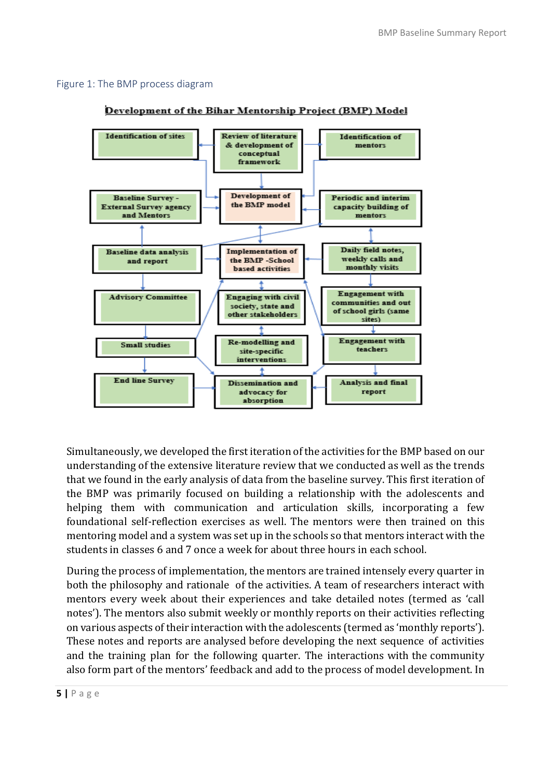#### Figure 1: The BMP process diagram



#### Development of the Bihar Mentorship Project (BMP) Model

Simultaneously, we developed the first iteration of the activities for the BMP based on our understanding of the extensive literature review that we conducted as well as the trends that we found in the early analysis of data from the baseline survey. This first iteration of the BMP was primarily focused on building a relationship with the adolescents and helping them with communication and articulation skills, incorporating a few foundational self-reflection exercises as well. The mentors were then trained on this mentoring model and a system was set up in the schools so that mentors interact with the students in classes 6 and 7 once a week for about three hours in each school.

During the process of implementation, the mentors are trained intensely every quarter in both the philosophy and rationale of the activities. A team of researchers interact with mentors every week about their experiences and take detailed notes (termed as 'call notes'). The mentors also submit weekly or monthly reports on their activities reflecting on various aspects of their interaction with the adolescents (termed as 'monthly reports'). These notes and reports are analysed before developing the next sequence of activities and the training plan for the following quarter. The interactions with the community also form part of the mentors' feedback and add to the process of model development. In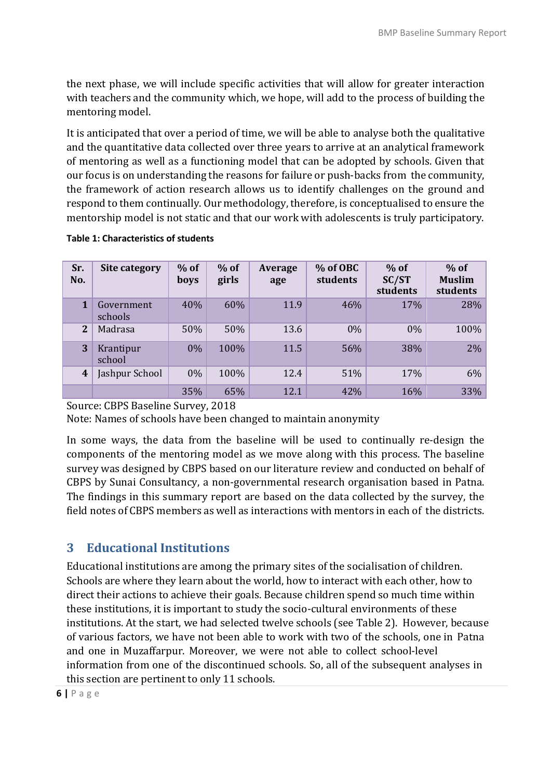the next phase, we will include specific activities that will allow for greater interaction with teachers and the community which, we hope, will add to the process of building the mentoring model.

It is anticipated that over a period of time, we will be able to analyse both the qualitative and the quantitative data collected over three years to arrive at an analytical framework of mentoring as well as a functioning model that can be adopted by schools. Given that our focus is on understanding the reasons for failure or push-backs from the community, the framework of action research allows us to identify challenges on the ground and respond to them continually. Our methodology, therefore, is conceptualised to ensure the mentorship model is not static and that our work with adolescents is truly participatory.

| Sr.<br>No.       | Site category         | $%$ of<br>boys | $%$ of<br>girls | Average<br>age | % of OBC<br>students | $%$ of<br>SC/ST<br>students | $%$ of<br><b>Muslim</b><br>students |
|------------------|-----------------------|----------------|-----------------|----------------|----------------------|-----------------------------|-------------------------------------|
| $\mathbf{1}$     | Government<br>schools | 40%            | 60%             | 11.9           | 46%                  | 17%                         | 28%                                 |
| $\overline{2}$   | Madrasa               | 50%            | 50%             | 13.6           | $0\%$                | $0\%$                       | 100%                                |
| 3                | Krantipur<br>school   | $0\%$          | 100%            | 11.5           | 56%                  | 38%                         | 2%                                  |
| $\boldsymbol{4}$ | Jashpur School        | $0\%$          | 100%            | 12.4           | 51%                  | 17%                         | 6%                                  |
|                  |                       | 35%            | 65%             | 12.1           | 42%                  | 16%                         | 33%                                 |

#### **Table 1: Characteristics of students**

Source: CBPS Baseline Survey, 2018

Note: Names of schools have been changed to maintain anonymity

In some ways, the data from the baseline will be used to continually re-design the components of the mentoring model as we move along with this process. The baseline survey was designed by CBPS based on our literature review and conducted on behalf of CBPS by Sunai Consultancy, a non-governmental research organisation based in Patna. The findings in this summary report are based on the data collected by the survey, the field notes of CBPS members as well as interactions with mentors in each of the districts.

# **3 Educational Institutions**

Educational institutions are among the primary sites of the socialisation of children. Schools are where they learn about the world, how to interact with each other, how to direct their actions to achieve their goals. Because children spend so much time within these institutions, it is important to study the socio-cultural environments of these institutions. At the start, we had selected twelve schools (see Table 2). However, because of various factors, we have not been able to work with two of the schools, one in Patna and one in Muzaffarpur. Moreover, we were not able to collect school-level information from one of the discontinued schools. So, all of the subsequent analyses in this section are pertinent to only 11 schools.

**6 |** P a g e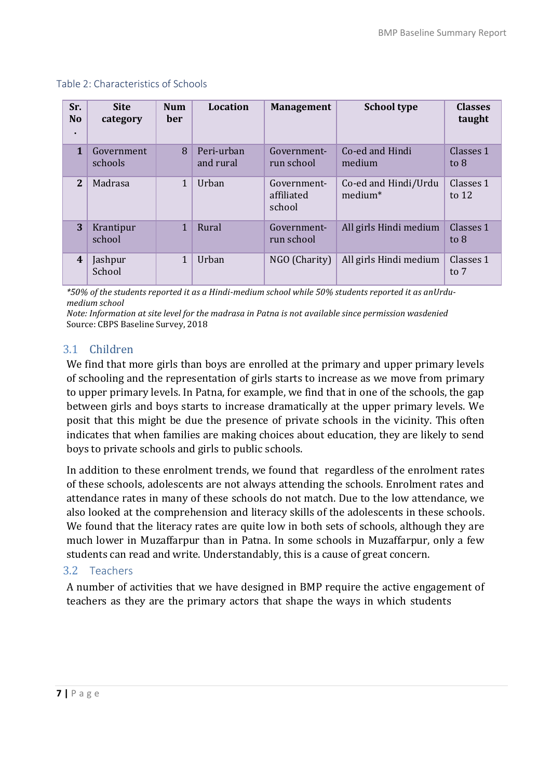| Sr.<br><b>No</b><br>٠ | <b>Site</b><br>category | <b>Num</b><br><b>ber</b> | <b>Location</b>         | <b>Management</b>                   | <b>School type</b>                          | <b>Classes</b><br>taught |
|-----------------------|-------------------------|--------------------------|-------------------------|-------------------------------------|---------------------------------------------|--------------------------|
| $\mathbf{1}$          | Government<br>schools   | 8                        | Peri-urban<br>and rural | Government-<br>run school           | Co-ed and Hindi<br>medium                   | Classes 1<br>to $8$      |
| 2                     | Madrasa                 | 1                        | Urban                   | Government-<br>affiliated<br>school | Co-ed and Hindi/Urdu<br>medium <sup>*</sup> | Classes 1<br>to $12$     |
| 3                     | Krantipur<br>school     | $\mathbf{1}$             | Rural                   | Government-<br>run school           | All girls Hindi medium                      | Classes 1<br>to $8$      |
| 4                     | Jashpur<br>School       | $\mathbf{1}$             | Urban                   | NGO (Charity)                       | All girls Hindi medium                      | Classes 1<br>to 7        |

#### Table 2: Characteristics of Schools

*\*50% of the students reported it as a Hindi-medium school while 50% students reported it as anUrdumedium school*

*Note: Information at site level for the madrasa in Patna is not available since permission wasdenied* Source: CBPS Baseline Survey, 2018

## 3.1 Children

We find that more girls than boys are enrolled at the primary and upper primary levels of schooling and the representation of girls starts to increase as we move from primary to upper primary levels. In Patna, for example, we find that in one of the schools, the gap between girls and boys starts to increase dramatically at the upper primary levels. We posit that this might be due the presence of private schools in the vicinity. This often indicates that when families are making choices about education, they are likely to send boys to private schools and girls to public schools.

In addition to these enrolment trends, we found that regardless of the enrolment rates of these schools, adolescents are not always attending the schools. Enrolment rates and attendance rates in many of these schools do not match. Due to the low attendance, we also looked at the comprehension and literacy skills of the adolescents in these schools. We found that the literacy rates are quite low in both sets of schools, although they are much lower in Muzaffarpur than in Patna. In some schools in Muzaffarpur, only a few students can read and write. Understandably, this is a cause of great concern.

## 3.2 Teachers

A number of activities that we have designed in BMP require the active engagement of teachers as they are the primary actors that shape the ways in which students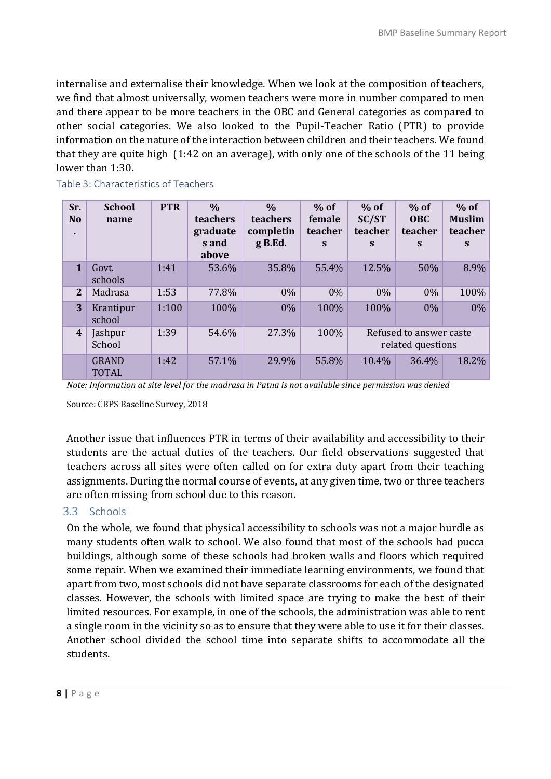internalise and externalise their knowledge. When we look at the composition of teachers, we find that almost universally, women teachers were more in number compared to men and there appear to be more teachers in the OBC and General categories as compared to other social categories. We also looked to the Pupil-Teacher Ratio (PTR) to provide information on the nature of the interaction between children and their teachers. We found that they are quite high (1:42 on an average), with only one of the schools of the 11 being lower than 1:30.

|                  | DIE 5. CHATACLEHSLICS OF TEACHETS                                                                                 |            |                                                         |                                                     |                                  |                                              |                                      |                                         |  |  |
|------------------|-------------------------------------------------------------------------------------------------------------------|------------|---------------------------------------------------------|-----------------------------------------------------|----------------------------------|----------------------------------------------|--------------------------------------|-----------------------------------------|--|--|
| Sr.<br><b>No</b> | <b>School</b><br>name                                                                                             | <b>PTR</b> | $\frac{0}{0}$<br>teachers<br>graduate<br>s and<br>above | $\frac{0}{0}$<br>teachers<br>completin<br>$g$ B.Ed. | $%$ of<br>female<br>teacher<br>S | $%$ of<br>SC/ST<br>teacher<br>S              | $%$ of<br><b>OBC</b><br>teacher<br>S | $%$ of<br><b>Muslim</b><br>teacher<br>S |  |  |
| $\mathbf{1}$     | Govt.<br>schools                                                                                                  | 1:41       | 53.6%                                                   | 35.8%                                               | 55.4%                            | 12.5%                                        | 50%                                  | 8.9%                                    |  |  |
| 2                | Madrasa                                                                                                           | 1:53       | 77.8%                                                   | $0\%$                                               | $0\%$                            | $0\%$                                        | $0\%$                                | 100%                                    |  |  |
| 3                | Krantipur<br>school                                                                                               | 1:100      | 100%                                                    | $0\%$                                               | 100%                             | 100%                                         | $0\%$                                | 0%                                      |  |  |
| $\boldsymbol{4}$ | Jashpur<br>School                                                                                                 | 1:39       | 54.6%                                                   | 27.3%                                               | 100%                             | Refused to answer caste<br>related questions |                                      |                                         |  |  |
|                  | <b>GRAND</b><br><b>TOTAL</b>                                                                                      | 1:42       | 57.1%                                                   | 29.9%                                               | 55.8%                            | 10.4%                                        | 36.4%                                | 18.2%                                   |  |  |
|                  | Mars. Lafannistica strates Local for the mostlines to Dation to net significally attes in convention come develod |            |                                                         |                                                     |                                  |                                              |                                      |                                         |  |  |

Table 3: Characteristics of Teachers

*Note: Information at site level for the madrasa in Patna is not available since permission was denied*

Source: CBPS Baseline Survey, 2018

Another issue that influences PTR in terms of their availability and accessibility to their students are the actual duties of the teachers. Our field observations suggested that teachers across all sites were often called on for extra duty apart from their teaching assignments. During the normal course of events, at any given time, two or three teachers are often missing from school due to this reason.

#### 3.3 Schools

On the whole, we found that physical accessibility to schools was not a major hurdle as many students often walk to school. We also found that most of the schools had pucca buildings, although some of these schools had broken walls and floors which required some repair. When we examined their immediate learning environments, we found that apart from two, most schools did not have separate classrooms for each of the designated classes. However, the schools with limited space are trying to make the best of their limited resources. For example, in one of the schools, the administration was able to rent a single room in the vicinity so as to ensure that they were able to use it for their classes. Another school divided the school time into separate shifts to accommodate all the students.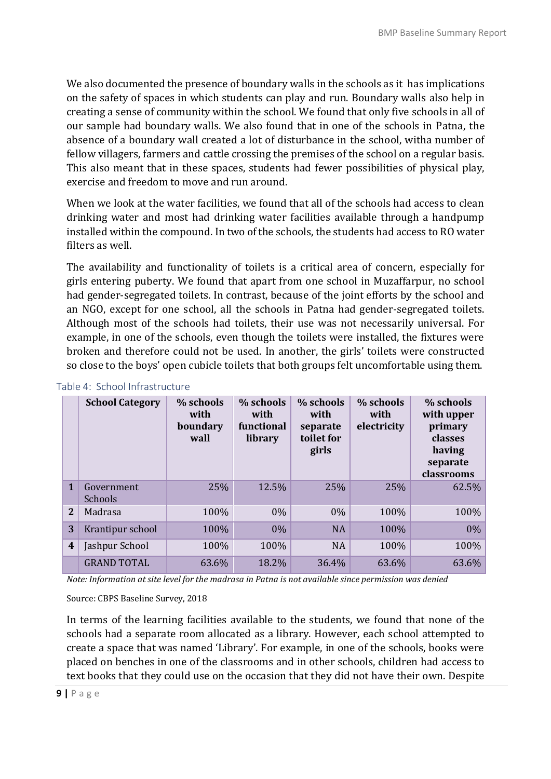We also documented the presence of boundary walls in the schools as it has implications on the safety of spaces in which students can play and run. Boundary walls also help in creating a sense of community within the school. We found that only five schools in all of our sample had boundary walls. We also found that in one of the schools in Patna, the absence of a boundary wall created a lot of disturbance in the school, witha number of fellow villagers, farmers and cattle crossing the premises of the school on a regular basis. This also meant that in these spaces, students had fewer possibilities of physical play, exercise and freedom to move and run around.

When we look at the water facilities, we found that all of the schools had access to clean drinking water and most had drinking water facilities available through a handpump installed within the compound. In two of the schools, the students had access to RO water filters as well.

The availability and functionality of toilets is a critical area of concern, especially for girls entering puberty. We found that apart from one school in Muzaffarpur, no school had gender-segregated toilets. In contrast, because of the joint efforts by the school and an NGO, except for one school, all the schools in Patna had gender-segregated toilets. Although most of the schools had toilets, their use was not necessarily universal. For example, in one of the schools, even though the toilets were installed, the fixtures were broken and therefore could not be used. In another, the girls' toilets were constructed so close to the boys' open cubicle toilets that both groups felt uncomfortable using them.

|                  | <b>School Category</b> | % schools<br>with<br>boundary<br>wall | % schools<br>with<br>functional<br>library | % schools<br>with<br>separate<br>toilet for<br>girls | % schools<br>with<br>electricity | % schools<br>with upper<br>primary<br>classes<br>having<br>separate<br>classrooms |
|------------------|------------------------|---------------------------------------|--------------------------------------------|------------------------------------------------------|----------------------------------|-----------------------------------------------------------------------------------|
| $\mathbf{1}$     | Government<br>Schools  | 25%                                   | 12.5%                                      | 25%                                                  | 25%                              | 62.5%                                                                             |
| $\mathbf{2}$     | Madrasa                | 100%                                  | $0\%$                                      | 0%                                                   | 100%                             | 100%                                                                              |
| 3                | Krantipur school       | 100%                                  | $0\%$                                      | <b>NA</b>                                            | 100%                             | $0\%$                                                                             |
| $\boldsymbol{4}$ | Jashpur School         | 100%                                  | 100%                                       | <b>NA</b>                                            | 100%                             | 100%                                                                              |
|                  | <b>GRAND TOTAL</b>     | 63.6%                                 | 18.2%                                      | 36.4%                                                | 63.6%                            | 63.6%                                                                             |

#### Table 4: School Infrastructure

*Note: Information at site level for the madrasa in Patna is not available since permission was denied*

#### Source: CBPS Baseline Survey, 2018

In terms of the learning facilities available to the students, we found that none of the schools had a separate room allocated as a library. However, each school attempted to create a space that was named 'Library'. For example, in one of the schools, books were placed on benches in one of the classrooms and in other schools, children had access to text books that they could use on the occasion that they did not have their own. Despite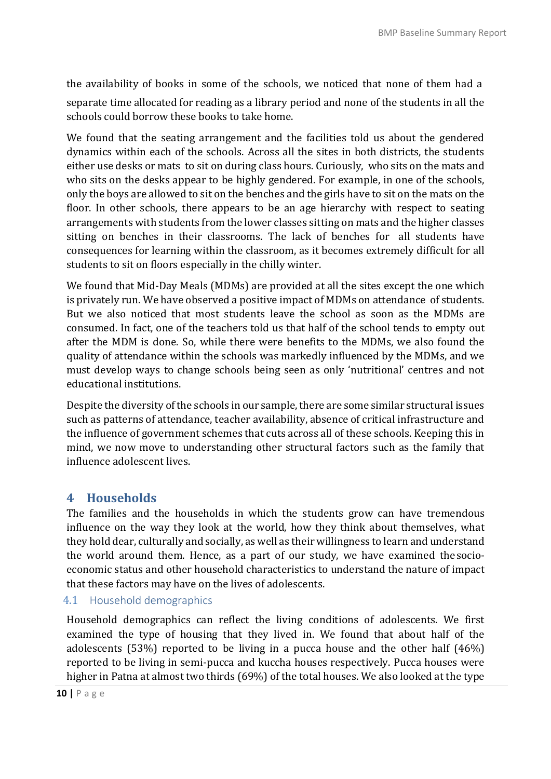the availability of books in some of the schools, we noticed that none of them had a

separate time allocated for reading as a library period and none of the students in all the schools could borrow these books to take home.

We found that the seating arrangement and the facilities told us about the gendered dynamics within each of the schools. Across all the sites in both districts, the students either use desks or mats to sit on during class hours. Curiously, who sits on the mats and who sits on the desks appear to be highly gendered. For example, in one of the schools, only the boys are allowed to sit on the benches and the girls have to sit on the mats on the floor. In other schools, there appears to be an age hierarchy with respect to seating arrangements with students from the lower classes sitting on mats and the higher classes sitting on benches in their classrooms. The lack of benches for all students have consequences for learning within the classroom, as it becomes extremely difficult for all students to sit on floors especially in the chilly winter.

We found that Mid-Day Meals (MDMs) are provided at all the sites except the one which is privately run. We have observed a positive impact of MDMs on attendance of students. But we also noticed that most students leave the school as soon as the MDMs are consumed. In fact, one of the teachers told us that half of the school tends to empty out after the MDM is done. So, while there were benefits to the MDMs, we also found the quality of attendance within the schools was markedly influenced by the MDMs, and we must develop ways to change schools being seen as only 'nutritional' centres and not educational institutions.

Despite the diversity of the schools in our sample, there are some similar structural issues such as patterns of attendance, teacher availability, absence of critical infrastructure and the influence of government schemes that cuts across all of these schools. Keeping this in mind, we now move to understanding other structural factors such as the family that influence adolescent lives.

## **4 Households**

The families and the households in which the students grow can have tremendous influence on the way they look at the world, how they think about themselves, what they hold dear, culturally and socially, as well as their willingness to learn and understand the world around them. Hence, as a part of our study, we have examined the socioeconomic status and other household characteristics to understand the nature of impact that these factors may have on the lives of adolescents.

#### 4.1 Household demographics

Household demographics can reflect the living conditions of adolescents. We first examined the type of housing that they lived in. We found that about half of the adolescents (53%) reported to be living in a pucca house and the other half (46%) reported to be living in semi-pucca and kuccha houses respectively. Pucca houses were higher in Patna at almost two thirds (69%) of the total houses. We also looked at the type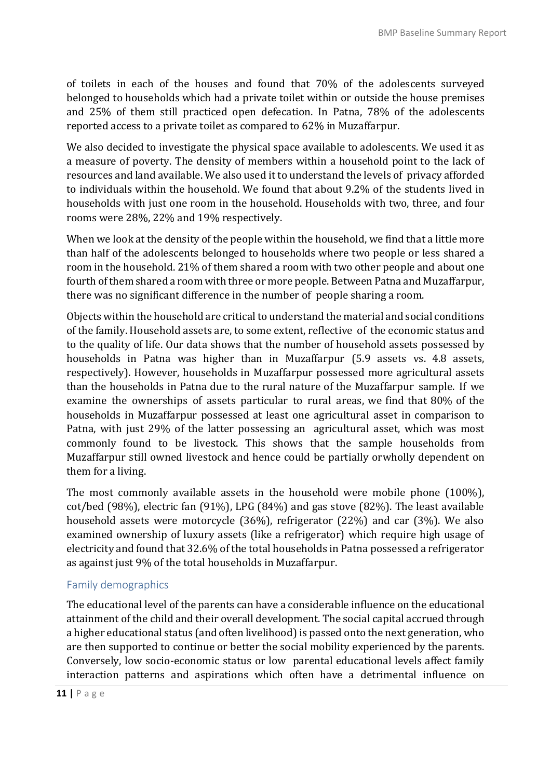of toilets in each of the houses and found that 70% of the adolescents surveyed belonged to households which had a private toilet within or outside the house premises and 25% of them still practiced open defecation. In Patna, 78% of the adolescents reported access to a private toilet as compared to 62% in Muzaffarpur.

We also decided to investigate the physical space available to adolescents. We used it as a measure of poverty. The density of members within a household point to the lack of resources and land available. We also used it to understand the levels of privacy afforded to individuals within the household. We found that about 9.2% of the students lived in households with just one room in the household. Households with two, three, and four rooms were 28%, 22% and 19% respectively.

When we look at the density of the people within the household, we find that a little more than half of the adolescents belonged to households where two people or less shared a room in the household. 21% of them shared a room with two other people and about one fourth of them shared a room with three or more people. Between Patna and Muzaffarpur, there was no significant difference in the number of people sharing a room.

Objects within the household are critical to understand the material and social conditions of the family. Household assets are, to some extent, reflective of the economic status and to the quality of life. Our data shows that the number of household assets possessed by households in Patna was higher than in Muzaffarpur (5.9 assets vs. 4.8 assets, respectively). However, households in Muzaffarpur possessed more agricultural assets than the households in Patna due to the rural nature of the Muzaffarpur sample. If we examine the ownerships of assets particular to rural areas, we find that 80% of the households in Muzaffarpur possessed at least one agricultural asset in comparison to Patna, with just 29% of the latter possessing an agricultural asset, which was most commonly found to be livestock. This shows that the sample households from Muzaffarpur still owned livestock and hence could be partially orwholly dependent on them for a living.

The most commonly available assets in the household were mobile phone (100%), cot/bed (98%), electric fan (91%), LPG (84%) and gas stove (82%). The least available household assets were motorcycle (36%), refrigerator (22%) and car (3%). We also examined ownership of luxury assets (like a refrigerator) which require high usage of electricity and found that 32.6% of the total households in Patna possessed a refrigerator as against just 9% of the total households in Muzaffarpur.

## Family demographics

The educational level of the parents can have a considerable influence on the educational attainment of the child and their overall development. The social capital accrued through a higher educational status (and often livelihood) is passed onto the next generation, who are then supported to continue or better the social mobility experienced by the parents. Conversely, low socio-economic status or low parental educational levels affect family interaction patterns and aspirations which often have a detrimental influence on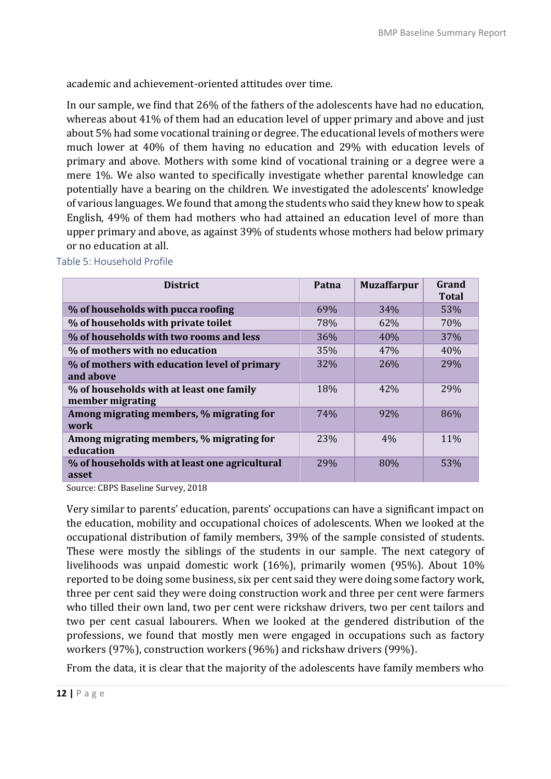academic and achievement-oriented attitudes over time.

In our sample, we find that 26% of the fathers of the adolescents have had no education, whereas about 41% of them had an education level of upper primary and above and just about 5% had some vocational training or degree. The educational levels of mothers were much lower at 40% of them having no education and 29% with education levels of primary and above. Mothers with some kind of vocational training or a degree were a mere 1%. We also wanted to specifically investigate whether parental knowledge can potentially have a bearing on the children. We investigated the adolescents' knowledge of various languages. We found that among the students who said they knew how to speak English, 49% of them had mothers who had attained an education level of more than upper primary and above, as against 39% of students whose mothers had below primary or no education at all.

| <b>District</b>                                              | Patna      | <b>Muzaffarpur</b> | Grand<br><b>Total</b> |
|--------------------------------------------------------------|------------|--------------------|-----------------------|
| % of households with pucca roofing                           | 69%        | 34%                | 53%                   |
| % of households with private toilet                          | 78%        | 62%                | 70%                   |
| % of households with two rooms and less                      | 36%        | 40%                | 37%                   |
| % of mothers with no education                               | 35%        | 47%                | 40%                   |
| % of mothers with education level of primary<br>and above    | 32%        | 26%                | <b>29%</b>            |
| % of households with at least one family<br>member migrating | 18%        | 42%                | <b>29%</b>            |
| Among migrating members, % migrating for<br>work             | <b>74%</b> | 92%                | 86%                   |
| Among migrating members, % migrating for<br>education        | 23%        | 4%                 | <b>11%</b>            |
| % of households with at least one agricultural<br>asset      | <b>29%</b> | 80%                | 53%                   |

Table 5: Household Profile

Source: CBPS Baseline Survey, 2018

Very similar to parents' education, parents' occupations can have a significant impact on the education, mobility and occupational choices of adolescents. When we looked at the occupational distribution of family members, 39% of the sample consisted of students. These were mostly the siblings of the students in our sample. The next category of livelihoods was unpaid domestic work (16%), primarily women (95%). About 10% reported to be doing some business, six per cent said they were doing some factory work, three per cent said they were doing construction work and three per cent were farmers who tilled their own land, two per cent were rickshaw drivers, two per cent tailors and two per cent casual labourers. When we looked at the gendered distribution of the professions, we found that mostly men were engaged in occupations such as factory workers (97%), construction workers (96%) and rickshaw drivers (99%).

From the data, it is clear that the majority of the adolescents have family members who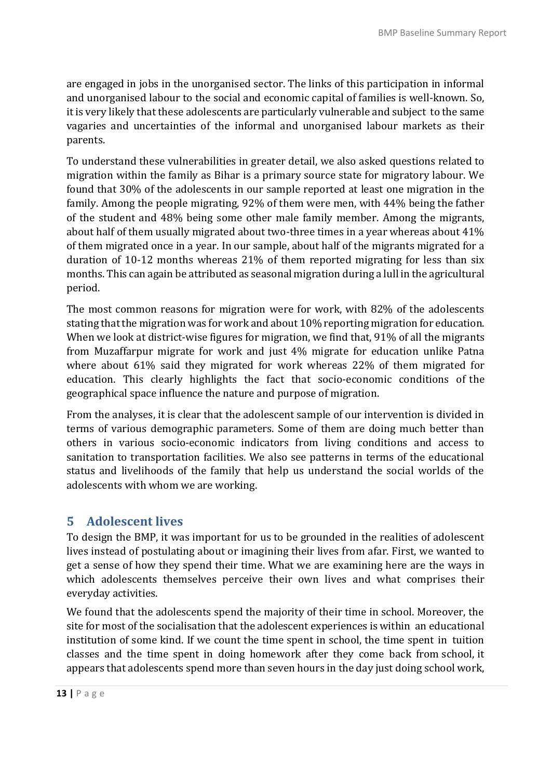are engaged in jobs in the unorganised sector. The links of this participation in informal and unorganised labour to the social and economic capital of families is well-known. So, it is very likely that these adolescents are particularly vulnerable and subject to the same vagaries and uncertainties of the informal and unorganised labour markets as their parents.

To understand these vulnerabilities in greater detail, we also asked questions related to migration within the family as Bihar is a primary source state for migratory labour. We found that 30% of the adolescents in our sample reported at least one migration in the family. Among the people migrating, 92% of them were men, with 44% being the father of the student and 48% being some other male family member. Among the migrants, about half of them usually migrated about two-three times in a year whereas about 41% of them migrated once in a year. In our sample, about half of the migrants migrated for a duration of 10-12 months whereas 21% of them reported migrating for less than six months. This can again be attributed as seasonal migration during a lull in the agricultural period.

The most common reasons for migration were for work, with 82% of the adolescents stating that the migration was for work and about 10% reporting migration for education. When we look at district-wise figures for migration, we find that, 91% of all the migrants from Muzaffarpur migrate for work and just 4% migrate for education unlike Patna where about 61% said they migrated for work whereas 22% of them migrated for education. This clearly highlights the fact that socio-economic conditions of the geographical space influence the nature and purpose of migration.

From the analyses, it is clear that the adolescent sample of our intervention is divided in terms of various demographic parameters. Some of them are doing much better than others in various socio-economic indicators from living conditions and access to sanitation to transportation facilities. We also see patterns in terms of the educational status and livelihoods of the family that help us understand the social worlds of the adolescents with whom we are working.

# **5 Adolescent lives**

To design the BMP, it was important for us to be grounded in the realities of adolescent lives instead of postulating about or imagining their lives from afar. First, we wanted to get a sense of how they spend their time. What we are examining here are the ways in which adolescents themselves perceive their own lives and what comprises their everyday activities.

We found that the adolescents spend the majority of their time in school. Moreover, the site for most of the socialisation that the adolescent experiences is within an educational institution of some kind. If we count the time spent in school, the time spent in tuition classes and the time spent in doing homework after they come back from school, it appears that adolescents spend more than seven hours in the day just doing school work,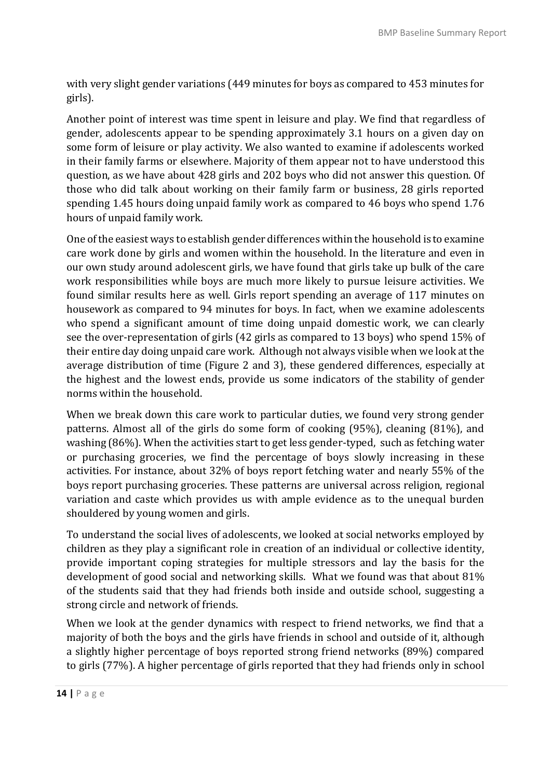with very slight gender variations (449 minutes for boys as compared to 453 minutes for girls).

Another point of interest was time spent in leisure and play. We find that regardless of gender, adolescents appear to be spending approximately 3.1 hours on a given day on some form of leisure or play activity. We also wanted to examine if adolescents worked in their family farms or elsewhere. Majority of them appear not to have understood this question, as we have about 428 girls and 202 boys who did not answer this question. Of those who did talk about working on their family farm or business, 28 girls reported spending 1.45 hours doing unpaid family work as compared to 46 boys who spend 1.76 hours of unpaid family work.

One ofthe easiest ways to establish gender differences within the household is to examine care work done by girls and women within the household. In the literature and even in our own study around adolescent girls, we have found that girls take up bulk of the care work responsibilities while boys are much more likely to pursue leisure activities. We found similar results here as well. Girls report spending an average of 117 minutes on housework as compared to 94 minutes for boys. In fact, when we examine adolescents who spend a significant amount of time doing unpaid domestic work, we can clearly see the over-representation of girls (42 girls as compared to 13 boys) who spend 15% of their entire day doing unpaid care work. Although not always visible when we look at the average distribution of time (Figure 2 and 3), these gendered differences, especially at the highest and the lowest ends, provide us some indicators of the stability of gender norms within the household.

When we break down this care work to particular duties, we found very strong gender patterns. Almost all of the girls do some form of cooking (95%), cleaning (81%), and washing (86%). When the activities start to get less gender-typed, such as fetching water or purchasing groceries, we find the percentage of boys slowly increasing in these activities. For instance, about 32% of boys report fetching water and nearly 55% of the boys report purchasing groceries. These patterns are universal across religion, regional variation and caste which provides us with ample evidence as to the unequal burden shouldered by young women and girls.

To understand the social lives of adolescents, we looked at social networks employed by children as they play a significant role in creation of an individual or collective identity, provide important coping strategies for multiple stressors and lay the basis for the development of good social and networking skills. What we found was that about 81% of the students said that they had friends both inside and outside school, suggesting a strong circle and network of friends.

When we look at the gender dynamics with respect to friend networks, we find that a majority of both the boys and the girls have friends in school and outside of it, although a slightly higher percentage of boys reported strong friend networks (89%) compared to girls (77%). A higher percentage of girls reported that they had friends only in school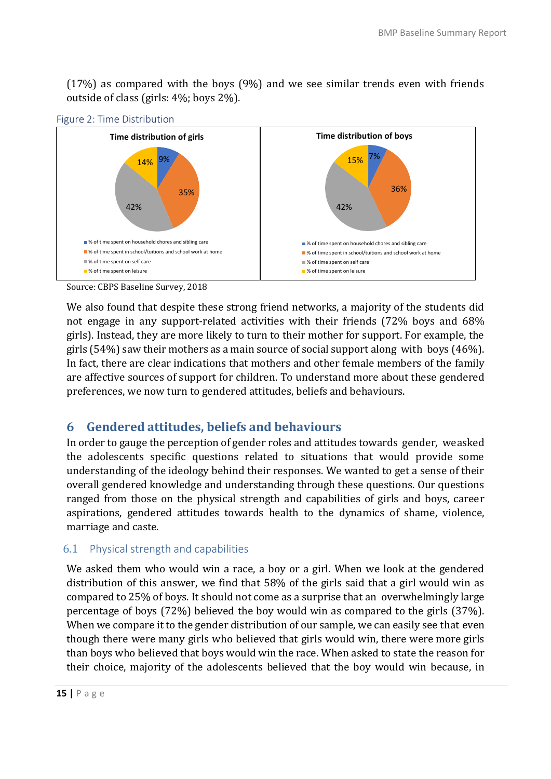(17%) as compared with the boys (9%) and we see similar trends even with friends outside of class (girls: 4%; boys 2%).



Figure 2: Time Distribution

Source: CBPS Baseline Survey, 2018

We also found that despite these strong friend networks, a majority of the students did not engage in any support-related activities with their friends (72% boys and 68% girls). Instead, they are more likely to turn to their mother for support. For example, the girls (54%) saw their mothers as a main source of social support along with boys (46%). In fact, there are clear indications that mothers and other female members of the family are affective sources of support for children. To understand more about these gendered preferences, we now turn to gendered attitudes, beliefs and behaviours.

## **6 Gendered attitudes, beliefs and behaviours**

In order to gauge the perception of gender roles and attitudes towards gender, we asked the adolescents specific questions related to situations that would provide some understanding of the ideology behind their responses. We wanted to get a sense of their overall gendered knowledge and understanding through these questions. Our questions ranged from those on the physical strength and capabilities of girls and boys, career aspirations, gendered attitudes towards health to the dynamics of shame, violence, marriage and caste.

#### 6.1 Physical strength and capabilities

We asked them who would win a race, a boy or a girl. When we look at the gendered distribution of this answer, we find that 58% of the girls said that a girl would win as compared to 25% of boys. It should not come as a surprise that an overwhelmingly large percentage of boys (72%) believed the boy would win as compared to the girls (37%). When we compare it to the gender distribution of our sample, we can easily see that even though there were many girls who believed that girls would win, there were more girls than boys who believed that boys would win the race. When asked to state the reason for their choice, majority of the adolescents believed that the boy would win because, in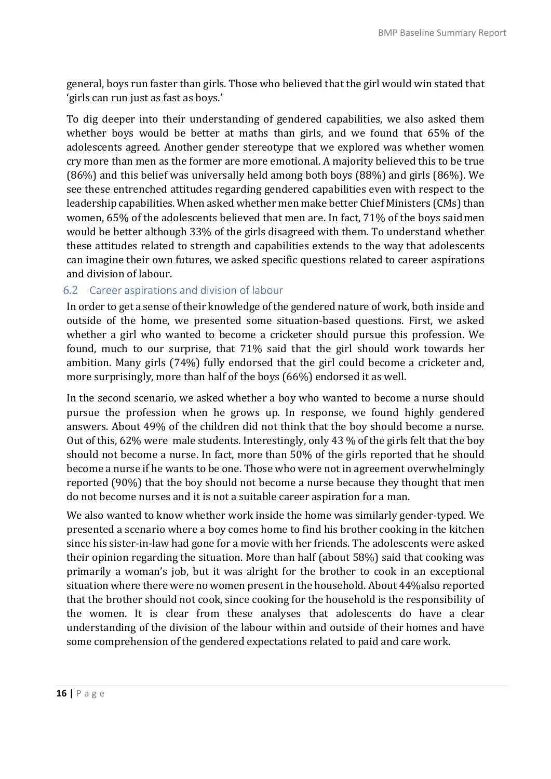general, boys run faster than girls. Those who believed that the girl would win stated that 'girls can run just as fast as boys.'

To dig deeper into their understanding of gendered capabilities, we also asked them whether boys would be better at maths than girls, and we found that 65% of the adolescents agreed. Another gender stereotype that we explored was whether women cry more than men as the former are more emotional. A majority believed this to be true (86%) and this belief was universally held among both boys (88%) and girls (86%). We see these entrenched attitudes regarding gendered capabilities even with respect to the leadership capabilities. When asked whether men make better Chief Ministers (CMs) than women, 65% of the adolescents believed that men are. In fact, 71% of the boys said men would be better although 33% of the girls disagreed with them. To understand whether these attitudes related to strength and capabilities extends to the way that adolescents can imagine their own futures, we asked specific questions related to career aspirations and division of labour.

## 6.2 Career aspirations and division of labour

In order to get a sense of their knowledge of the gendered nature of work, both inside and outside of the home, we presented some situation-based questions. First, we asked whether a girl who wanted to become a cricketer should pursue this profession. We found, much to our surprise, that 71% said that the girl should work towards her ambition. Many girls (74%) fully endorsed that the girl could become a cricketer and, more surprisingly, more than half of the boys (66%) endorsed it as well.

In the second scenario, we asked whether a boy who wanted to become a nurse should pursue the profession when he grows up. In response, we found highly gendered answers. About 49% of the children did not think that the boy should become a nurse. Out of this, 62% were male students. Interestingly, only 43 % of the girls felt that the boy should not become a nurse. In fact, more than 50% of the girls reported that he should become a nurse if he wants to be one. Those who were not in agreement overwhelmingly reported (90%) that the boy should not become a nurse because they thought that men do not become nurses and it is not a suitable career aspiration for a man.

We also wanted to know whether work inside the home was similarly gender-typed. We presented a scenario where a boy comes home to find his brother cooking in the kitchen since his sister-in-law had gone for a movie with her friends. The adolescents were asked their opinion regarding the situation. More than half (about 58%) said that cooking was primarily a woman's job, but it was alright for the brother to cook in an exceptional situation where there were no women present in the household. About 44%also reported that the brother should not cook, since cooking for the household is the responsibility of the women. It is clear from these analyses that adolescents do have a clear understanding of the division of the labour within and outside of their homes and have some comprehension of the gendered expectations related to paid and care work.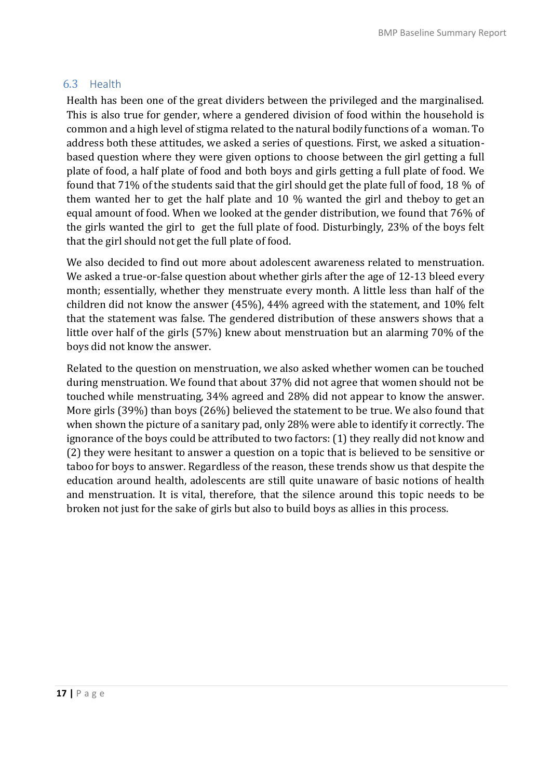### 6.3 Health

Health has been one of the great dividers between the privileged and the marginalised. This is also true for gender, where a gendered division of food within the household is common and a high level of stigma related to the natural bodily functions of a woman. To address both these attitudes, we asked a series of questions. First, we asked a situationbased question where they were given options to choose between the girl getting a full plate of food, a half plate of food and both boys and girls getting a full plate of food. We found that 71% of the students said that the girl should get the plate full of food, 18 % of them wanted her to get the half plate and 10 % wanted the girl and theboy to get an equal amount of food. When we looked at the gender distribution, we found that 76% of the girls wanted the girl to get the full plate of food. Disturbingly, 23% of the boys felt that the girl should not get the full plate of food.

We also decided to find out more about adolescent awareness related to menstruation. We asked a true-or-false question about whether girls after the age of 12-13 bleed every month; essentially, whether they menstruate every month. A little less than half of the children did not know the answer (45%), 44% agreed with the statement, and 10% felt that the statement was false. The gendered distribution of these answers shows that a little over half of the girls (57%) knew about menstruation but an alarming 70% of the boys did not know the answer.

Related to the question on menstruation, we also asked whether women can be touched during menstruation. We found that about 37% did not agree that women should not be touched while menstruating, 34% agreed and 28% did not appear to know the answer. More girls (39%) than boys (26%) believed the statement to be true. We also found that when shown the picture of a sanitary pad, only 28% were able to identify it correctly. The ignorance of the boys could be attributed to two factors: (1) they really did not know and (2) they were hesitant to answer a question on a topic that is believed to be sensitive or taboo for boys to answer. Regardless of the reason, these trends show us that despite the education around health, adolescents are still quite unaware of basic notions of health and menstruation. It is vital, therefore, that the silence around this topic needs to be broken not just for the sake of girls but also to build boys as allies in this process.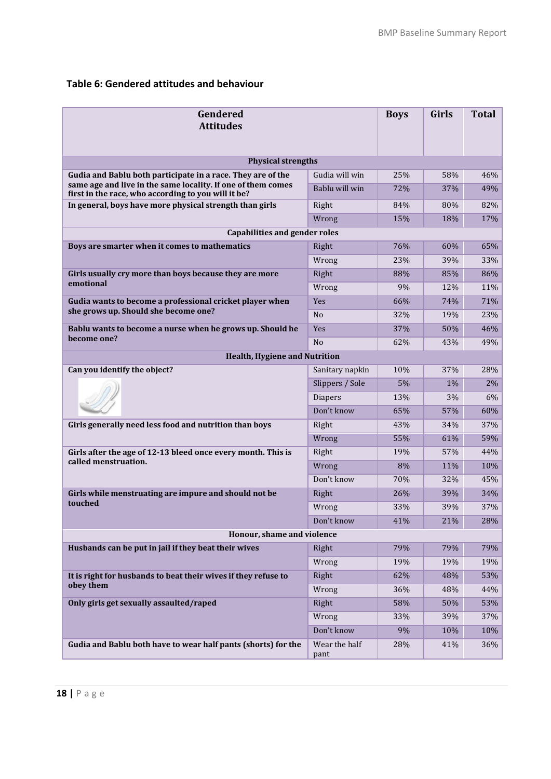## **Table 6: Gendered attitudes and behaviour**

| Gendered<br><b>Attitudes</b>                                                                                        |                       |     | Girls | <b>Total</b> |
|---------------------------------------------------------------------------------------------------------------------|-----------------------|-----|-------|--------------|
| <b>Physical strengths</b>                                                                                           |                       |     |       |              |
| Gudia and Bablu both participate in a race. They are of the                                                         | Gudia will win        | 25% | 58%   | 46%          |
| same age and live in the same locality. If one of them comes<br>first in the race, who according to you will it be? | Bablu will win        | 72% | 37%   | 49%          |
| In general, boys have more physical strength than girls                                                             | Right                 | 84% | 80%   | 82%          |
|                                                                                                                     | Wrong                 | 15% | 18%   | 17%          |
| <b>Capabilities and gender roles</b>                                                                                |                       |     |       |              |
| Boys are smarter when it comes to mathematics                                                                       | Right                 | 76% | 60%   | 65%          |
|                                                                                                                     | Wrong                 | 23% | 39%   | 33%          |
| Girls usually cry more than boys because they are more                                                              | Right                 | 88% | 85%   | 86%          |
| emotional                                                                                                           | Wrong                 | 9%  | 12%   | 11%          |
| Gudia wants to become a professional cricket player when                                                            | <b>Yes</b>            | 66% | 74%   | 71%          |
| she grows up. Should she become one?                                                                                | N <sub>o</sub>        | 32% | 19%   | 23%          |
| Bablu wants to become a nurse when he grows up. Should he                                                           | <b>Yes</b>            | 37% | 50%   | 46%          |
| become one?                                                                                                         | N <sub>o</sub>        | 62% | 43%   | 49%          |
| <b>Health, Hygiene and Nutrition</b>                                                                                |                       |     |       |              |
| Can you identify the object?                                                                                        | Sanitary napkin       | 10% | 37%   | 28%          |
|                                                                                                                     | Slippers / Sole       | 5%  | 1%    | 2%           |
|                                                                                                                     | <b>Diapers</b>        | 13% | 3%    | 6%           |
|                                                                                                                     | Don't know            | 65% | 57%   | 60%          |
| Girls generally need less food and nutrition than boys                                                              | Right                 | 43% | 34%   | 37%          |
|                                                                                                                     | Wrong                 | 55% | 61%   | 59%          |
| Girls after the age of 12-13 bleed once every month. This is                                                        | Right                 | 19% | 57%   | 44%          |
| called menstruation.                                                                                                | Wrong                 | 8%  | 11%   | 10%          |
|                                                                                                                     | Don't know            | 70% | 32%   | 45%          |
| Girls while menstruating are impure and should not be                                                               | Right                 | 26% | 39%   | 34%          |
| touched                                                                                                             | Wrong                 | 33% | 39%   | 37%          |
|                                                                                                                     | Don't know            | 41% | 21%   | 28%          |
| Honour, shame and violence                                                                                          |                       |     |       |              |
| Husbands can be put in jail if they beat their wives                                                                | Right                 | 79% | 79%   | 79%          |
|                                                                                                                     | Wrong                 | 19% | 19%   | 19%          |
| It is right for husbands to beat their wives if they refuse to                                                      | Right                 | 62% | 48%   | 53%          |
| obey them                                                                                                           | Wrong                 | 36% | 48%   | 44%          |
| Only girls get sexually assaulted/raped                                                                             | Right                 | 58% | 50%   | 53%          |
|                                                                                                                     | Wrong                 | 33% | 39%   | 37%          |
|                                                                                                                     | Don't know            | 9%  | 10%   | 10%          |
| Gudia and Bablu both have to wear half pants (shorts) for the                                                       | Wear the half<br>pant | 28% | 41%   | 36%          |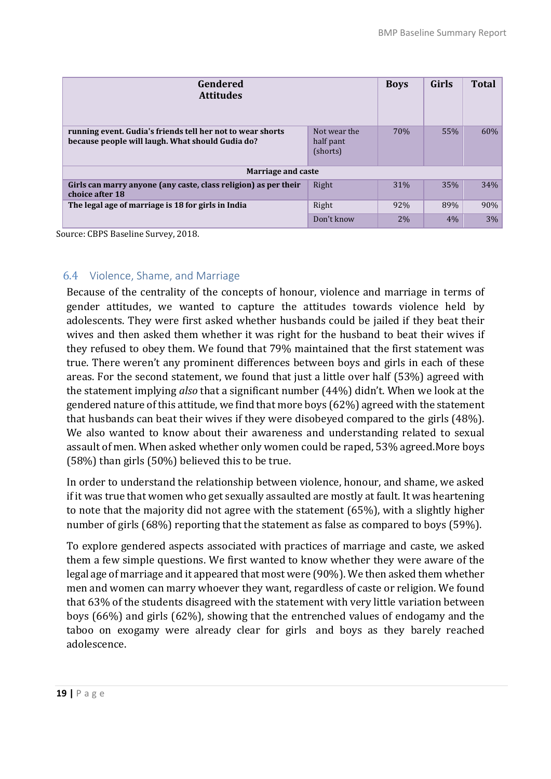| Gendered<br><b>Attitudes</b>                                                                                   |            | <b>Boys</b> | <b>Girls</b> | <b>Total</b> |
|----------------------------------------------------------------------------------------------------------------|------------|-------------|--------------|--------------|
| running event. Gudia's friends tell her not to wear shorts<br>because people will laugh. What should Gudia do? | 70%        | 55%         | 60%          |              |
| <b>Marriage and caste</b>                                                                                      |            |             |              |              |
| Girls can marry anyone (any caste, class religion) as per their<br>choice after 18                             | Right      | 31%         | 35%          | 34%          |
| The legal age of marriage is 18 for girls in India                                                             | Right      | 92%         | 89%          | 90%          |
|                                                                                                                | Don't know | 2%          | 4%           | 3%           |

Source: CBPS Baseline Survey, 2018.

## 6.4 Violence, Shame, and Marriage

Because of the centrality of the concepts of honour, violence and marriage in terms of gender attitudes, we wanted to capture the attitudes towards violence held by adolescents. They were first asked whether husbands could be jailed if they beat their wives and then asked them whether it was right for the husband to beat their wives if they refused to obey them. We found that 79% maintained that the first statement was true. There weren't any prominent differences between boys and girls in each of these areas. For the second statement, we found that just a little over half (53%) agreed with the statement implying *also* that a significant number (44%) didn't. When we look at the gendered nature of this attitude, we find that more boys (62%) agreed with the statement that husbands can beat their wives if they were disobeyed compared to the girls (48%). We also wanted to know about their awareness and understanding related to sexual assault of men. When asked whether only women could be raped, 53% agreed.More boys (58%) than girls (50%) believed this to be true.

In order to understand the relationship between violence, honour, and shame, we asked if it was true that women who get sexually assaulted are mostly at fault. It was heartening to note that the majority did not agree with the statement (65%), with a slightly higher number of girls (68%) reporting that the statement as false as compared to boys (59%).

To explore gendered aspects associated with practices of marriage and caste, we asked them a few simple questions. We first wanted to know whether they were aware of the legal age of marriage and it appeared that most were (90%). We then asked them whether men and women can marry whoever they want, regardless of caste or religion. We found that 63% of the students disagreed with the statement with very little variation between boys (66%) and girls (62%), showing that the entrenched values of endogamy and the taboo on exogamy were already clear for girls and boys as they barely reached adolescence.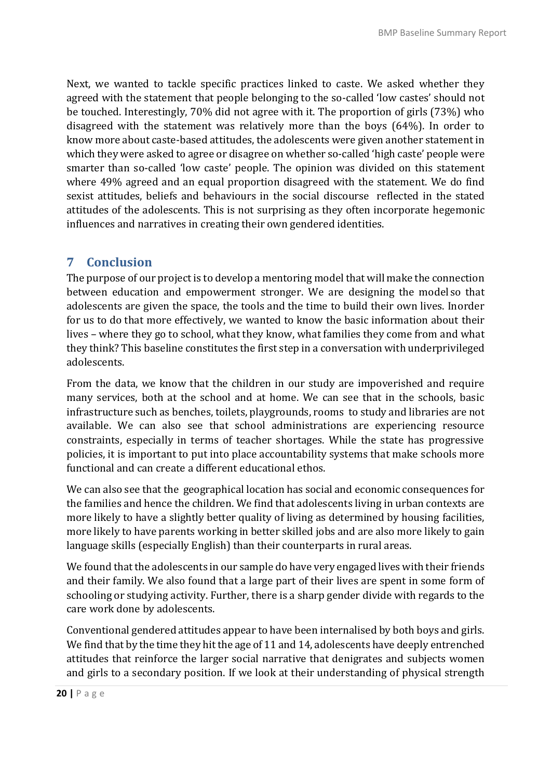Next, we wanted to tackle specific practices linked to caste. We asked whether they agreed with the statement that people belonging to the so-called 'low castes' should not be touched. Interestingly, 70% did not agree with it. The proportion of girls (73%) who disagreed with the statement was relatively more than the boys (64%). In order to know more about caste-based attitudes, the adolescents were given another statement in which they were asked to agree or disagree on whether so-called 'high caste' people were smarter than so-called 'low caste' people. The opinion was divided on this statement where 49% agreed and an equal proportion disagreed with the statement. We do find sexist attitudes, beliefs and behaviours in the social discourse reflected in the stated attitudes of the adolescents. This is not surprising as they often incorporate hegemonic influences and narratives in creating their own gendered identities.

# **7 Conclusion**

The purpose of our project is to develop a mentoring model that will make the connection between education and empowerment stronger. We are designing the model so that adolescents are given the space, the tools and the time to build their own lives. Inorder for us to do that more effectively, we wanted to know the basic information about their lives – where they go to school, what they know, what families they come from and what they think? This baseline constitutes the first step in a conversation with underprivileged adolescents.

From the data, we know that the children in our study are impoverished and require many services, both at the school and at home. We can see that in the schools, basic infrastructure such as benches, toilets, playgrounds, rooms to study and libraries are not available. We can also see that school administrations are experiencing resource constraints, especially in terms of teacher shortages. While the state has progressive policies, it is important to put into place accountability systems that make schools more functional and can create a different educational ethos.

We can also see that the geographical location has social and economic consequences for the families and hence the children. We find that adolescents living in urban contexts are more likely to have a slightly better quality of living as determined by housing facilities, more likely to have parents working in better skilled jobs and are also more likely to gain language skills (especially English) than their counterparts in rural areas.

We found that the adolescents in our sample do have very engaged lives with their friends and their family. We also found that a large part of their lives are spent in some form of schooling or studying activity. Further, there is a sharp gender divide with regards to the care work done by adolescents.

Conventional gendered attitudes appear to have been internalised by both boys and girls. We find that by the time they hit the age of 11 and 14, adolescents have deeply entrenched attitudes that reinforce the larger social narrative that denigrates and subjects women and girls to a secondary position. If we look at their understanding of physical strength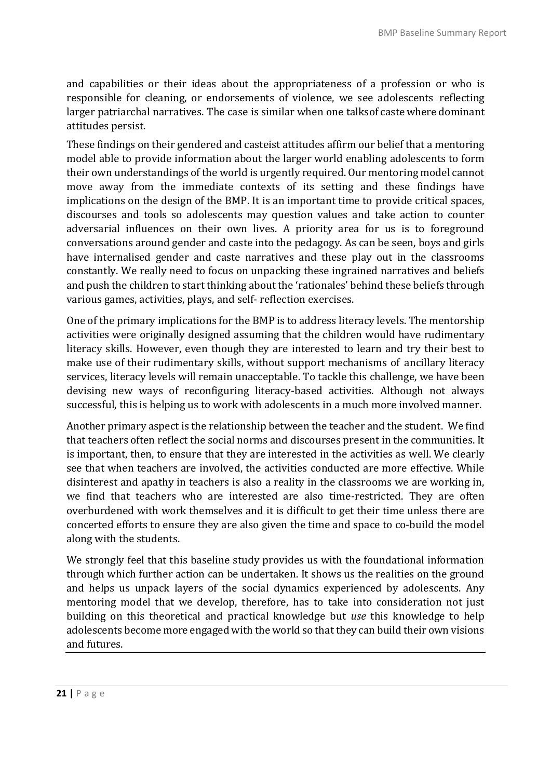and capabilities or their ideas about the appropriateness of a profession or who is responsible for cleaning, or endorsements of violence, we see adolescents reflecting larger patriarchal narratives. The case is similar when one talksof caste where dominant attitudes persist.

These findings on their gendered and casteist attitudes affirm our belief that a mentoring model able to provide information about the larger world enabling adolescents to form their own understandings of the world is urgently required. Our mentoring model cannot move away from the immediate contexts of its setting and these findings have implications on the design of the BMP. It is an important time to provide critical spaces, discourses and tools so adolescents may question values and take action to counter adversarial influences on their own lives. A priority area for us is to foreground conversations around gender and caste into the pedagogy. As can be seen, boys and girls have internalised gender and caste narratives and these play out in the classrooms constantly. We really need to focus on unpacking these ingrained narratives and beliefs and push the children to start thinking about the 'rationales' behind these beliefs through various games, activities, plays, and self- reflection exercises.

One of the primary implications for the BMP is to address literacy levels. The mentorship activities were originally designed assuming that the children would have rudimentary literacy skills. However, even though they are interested to learn and try their best to make use of their rudimentary skills, without support mechanisms of ancillary literacy services, literacy levels will remain unacceptable. To tackle this challenge, we have been devising new ways of reconfiguring literacy-based activities. Although not always successful, this is helping us to work with adolescents in a much more involved manner.

Another primary aspect is the relationship between the teacher and the student. We find that teachers often reflect the social norms and discourses present in the communities. It is important, then, to ensure that they are interested in the activities as well. We clearly see that when teachers are involved, the activities conducted are more effective. While disinterest and apathy in teachers is also a reality in the classrooms we are working in, we find that teachers who are interested are also time-restricted. They are often overburdened with work themselves and it is difficult to get their time unless there are concerted efforts to ensure they are also given the time and space to co-build the model along with the students.

We strongly feel that this baseline study provides us with the foundational information through which further action can be undertaken. It shows us the realities on the ground and helps us unpack layers of the social dynamics experienced by adolescents. Any mentoring model that we develop, therefore, has to take into consideration not just building on this theoretical and practical knowledge but *use* this knowledge to help adolescents become more engaged with the world so that they can build their own visions and futures.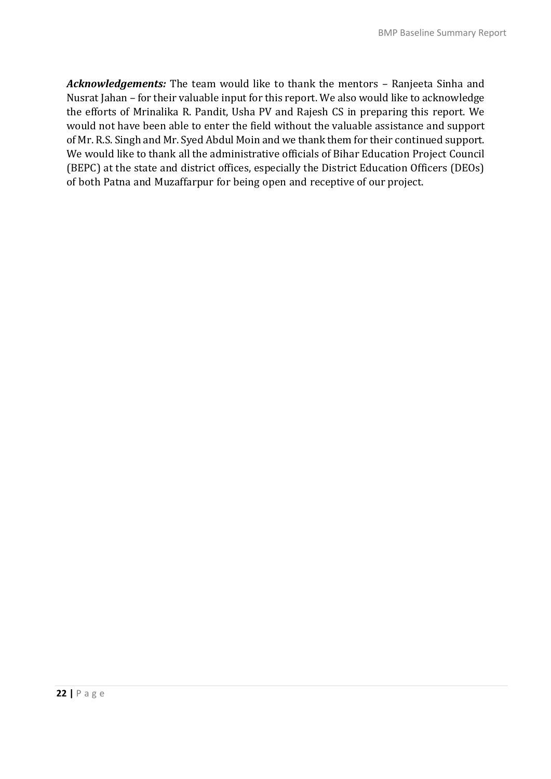*Acknowledgements:* The team would like to thank the mentors – Ranjeeta Sinha and Nusrat Jahan – for their valuable input for this report. We also would like to acknowledge the efforts of Mrinalika R. Pandit, Usha PV and Rajesh CS in preparing this report. We would not have been able to enter the field without the valuable assistance and support of Mr. R.S. Singh and Mr. Syed Abdul Moin and we thank them for their continued support. We would like to thank all the administrative officials of Bihar Education Project Council (BEPC) at the state and district offices, especially the District Education Officers (DEOs) of both Patna and Muzaffarpur for being open and receptive of our project.